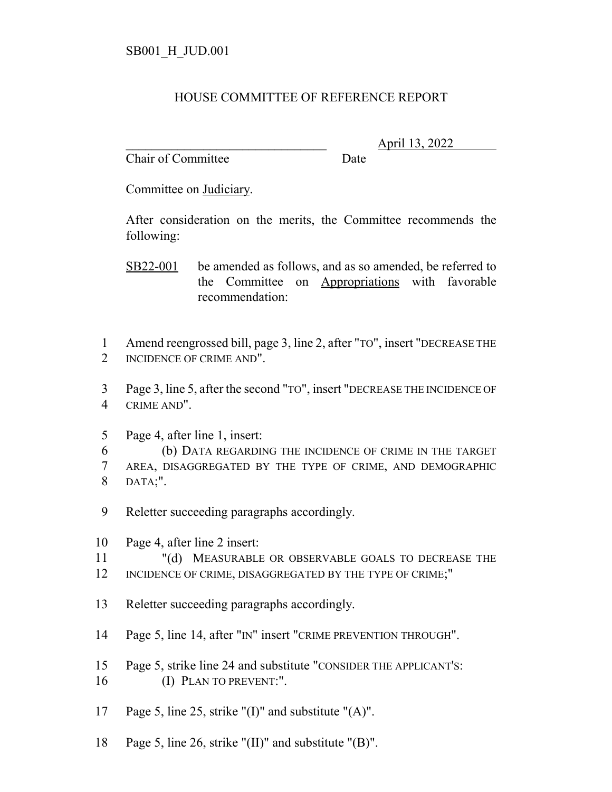## HOUSE COMMITTEE OF REFERENCE REPORT

Chair of Committee Date

\_\_\_\_\_\_\_\_\_\_\_\_\_\_\_\_\_\_\_\_\_\_\_\_\_\_\_\_\_\_\_ April 13, 2022

Committee on Judiciary.

After consideration on the merits, the Committee recommends the following:

- SB22-001 be amended as follows, and as so amended, be referred to the Committee on Appropriations with favorable recommendation:
- 1 Amend reengrossed bill, page 3, line 2, after "TO", insert "DECREASE THE 2 INCIDENCE OF CRIME AND".
- 3 Page 3, line 5, after the second "TO", insert "DECREASE THE INCIDENCE OF 4 CRIME AND".
- 5 Page 4, after line 1, insert:
- 6 (b) DATA REGARDING THE INCIDENCE OF CRIME IN THE TARGET 7 AREA, DISAGGREGATED BY THE TYPE OF CRIME, AND DEMOGRAPHIC 8 DATA;".
- 9 Reletter succeeding paragraphs accordingly.
- 10 Page 4, after line 2 insert:
- 11 "(d) MEASURABLE OR OBSERVABLE GOALS TO DECREASE THE
- 12 INCIDENCE OF CRIME, DISAGGREGATED BY THE TYPE OF CRIME;"
- 13 Reletter succeeding paragraphs accordingly.
- 14 Page 5, line 14, after "IN" insert "CRIME PREVENTION THROUGH".
- 15 Page 5, strike line 24 and substitute "CONSIDER THE APPLICANT'S: 16 (I) PLAN TO PREVENT:".
- 17 Page 5, line 25, strike "(I)" and substitute "(A)".
- 18 Page 5, line 26, strike "(II)" and substitute "(B)".